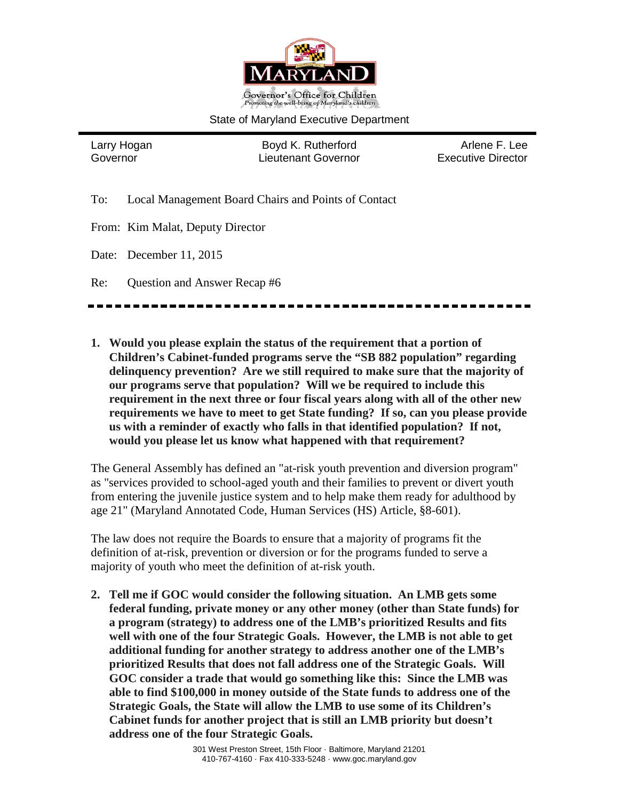

#### State of Maryland Executive Department

Larry Hogan **Boyd K. Rutherford** Arlene F. Lee Governor Lieutenant Governor Executive Director

- To: Local Management Board Chairs and Points of Contact
- From: Kim Malat, Deputy Director
- Date: December 11, 2015
- Re: Question and Answer Recap #6

**1. Would you please explain the status of the requirement that a portion of Children's Cabinet-funded programs serve the "SB 882 population" regarding delinquency prevention? Are we still required to make sure that the majority of our programs serve that population? Will we be required to include this requirement in the next three or four fiscal years along with all of the other new requirements we have to meet to get State funding? If so, can you please provide us with a reminder of exactly who falls in that identified population? If not, would you please let us know what happened with that requirement?**

The General Assembly has defined an "at-risk youth prevention and diversion program" as "services provided to school-aged youth and their families to prevent or divert youth from entering the juvenile justice system and to help make them ready for adulthood by age 21" (Maryland Annotated Code, Human Services (HS) Article, §8-601).

The law does not require the Boards to ensure that a majority of programs fit the definition of at-risk, prevention or diversion or for the programs funded to serve a majority of youth who meet the definition of at-risk youth.

**2. Tell me if GOC would consider the following situation. An LMB gets some federal funding, private money or any other money (other than State funds) for a program (strategy) to address one of the LMB's prioritized Results and fits well with one of the four Strategic Goals. However, the LMB is not able to get additional funding for another strategy to address another one of the LMB's prioritized Results that does not fall address one of the Strategic Goals. Will GOC consider a trade that would go something like this: Since the LMB was able to find \$100,000 in money outside of the State funds to address one of the Strategic Goals, the State will allow the LMB to use some of its Children's Cabinet funds for another project that is still an LMB priority but doesn't address one of the four Strategic Goals.**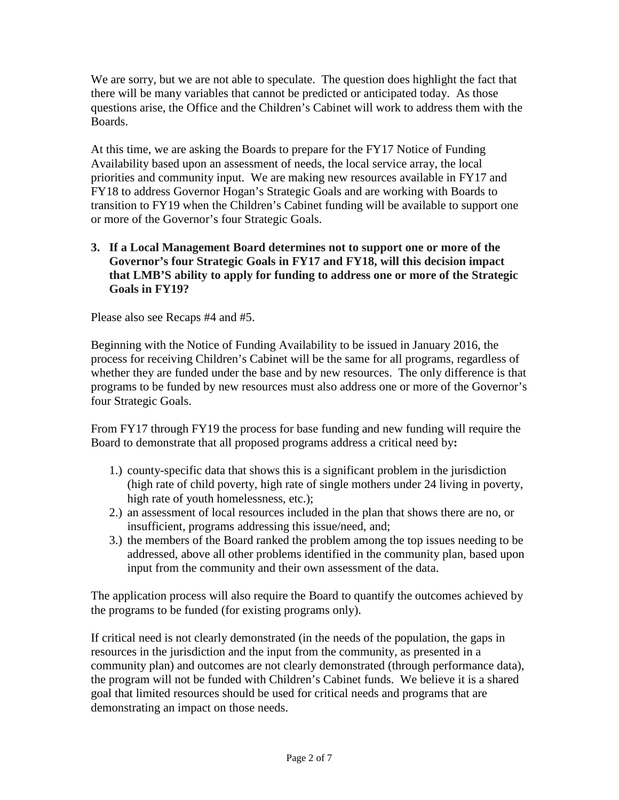We are sorry, but we are not able to speculate. The question does highlight the fact that there will be many variables that cannot be predicted or anticipated today. As those questions arise, the Office and the Children's Cabinet will work to address them with the Boards.

At this time, we are asking the Boards to prepare for the FY17 Notice of Funding Availability based upon an assessment of needs, the local service array, the local priorities and community input. We are making new resources available in FY17 and FY18 to address Governor Hogan's Strategic Goals and are working with Boards to transition to FY19 when the Children's Cabinet funding will be available to support one or more of the Governor's four Strategic Goals.

### **3. If a Local Management Board determines not to support one or more of the Governor's four Strategic Goals in FY17 and FY18, will this decision impact that LMB'S ability to apply for funding to address one or more of the Strategic Goals in FY19?**

Please also see Recaps #4 and #5.

Beginning with the Notice of Funding Availability to be issued in January 2016, the process for receiving Children's Cabinet will be the same for all programs, regardless of whether they are funded under the base and by new resources. The only difference is that programs to be funded by new resources must also address one or more of the Governor's four Strategic Goals.

From FY17 through FY19 the process for base funding and new funding will require the Board to demonstrate that all proposed programs address a critical need by**:**

- 1.) county-specific data that shows this is a significant problem in the jurisdiction (high rate of child poverty, high rate of single mothers under 24 living in poverty, high rate of youth homelessness, etc.);
- 2.) an assessment of local resources included in the plan that shows there are no, or insufficient, programs addressing this issue/need, and;
- 3.) the members of the Board ranked the problem among the top issues needing to be addressed, above all other problems identified in the community plan, based upon input from the community and their own assessment of the data.

The application process will also require the Board to quantify the outcomes achieved by the programs to be funded (for existing programs only).

If critical need is not clearly demonstrated (in the needs of the population, the gaps in resources in the jurisdiction and the input from the community, as presented in a community plan) and outcomes are not clearly demonstrated (through performance data), the program will not be funded with Children's Cabinet funds. We believe it is a shared goal that limited resources should be used for critical needs and programs that are demonstrating an impact on those needs.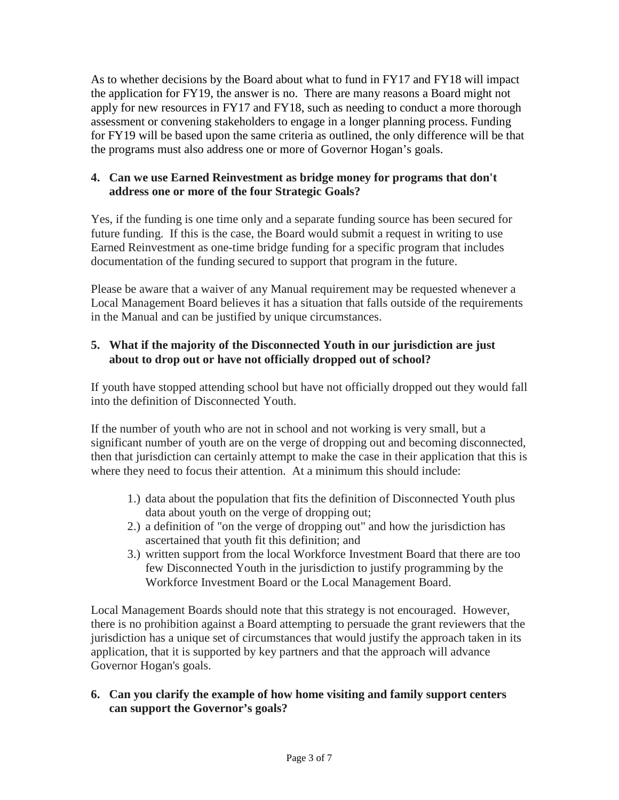As to whether decisions by the Board about what to fund in FY17 and FY18 will impact the application for FY19, the answer is no. There are many reasons a Board might not apply for new resources in FY17 and FY18, such as needing to conduct a more thorough assessment or convening stakeholders to engage in a longer planning process. Funding for FY19 will be based upon the same criteria as outlined, the only difference will be that the programs must also address one or more of Governor Hogan's goals.

### **4. Can we use Earned Reinvestment as bridge money for programs that don't address one or more of the four Strategic Goals?**

Yes, if the funding is one time only and a separate funding source has been secured for future funding. If this is the case, the Board would submit a request in writing to use Earned Reinvestment as one-time bridge funding for a specific program that includes documentation of the funding secured to support that program in the future.

Please be aware that a waiver of any Manual requirement may be requested whenever a Local Management Board believes it has a situation that falls outside of the requirements in the Manual and can be justified by unique circumstances.

# **5. What if the majority of the Disconnected Youth in our jurisdiction are just about to drop out or have not officially dropped out of school?**

If youth have stopped attending school but have not officially dropped out they would fall into the definition of Disconnected Youth.

If the number of youth who are not in school and not working is very small, but a significant number of youth are on the verge of dropping out and becoming disconnected, then that jurisdiction can certainly attempt to make the case in their application that this is where they need to focus their attention. At a minimum this should include:

- 1.) data about the population that fits the definition of Disconnected Youth plus data about youth on the verge of dropping out;
- 2.) a definition of "on the verge of dropping out" and how the jurisdiction has ascertained that youth fit this definition; and
- 3.) written support from the local Workforce Investment Board that there are too few Disconnected Youth in the jurisdiction to justify programming by the Workforce Investment Board or the Local Management Board.

Local Management Boards should note that this strategy is not encouraged. However, there is no prohibition against a Board attempting to persuade the grant reviewers that the jurisdiction has a unique set of circumstances that would justify the approach taken in its application, that it is supported by key partners and that the approach will advance Governor Hogan's goals.

## **6. Can you clarify the example of how home visiting and family support centers can support the Governor's goals?**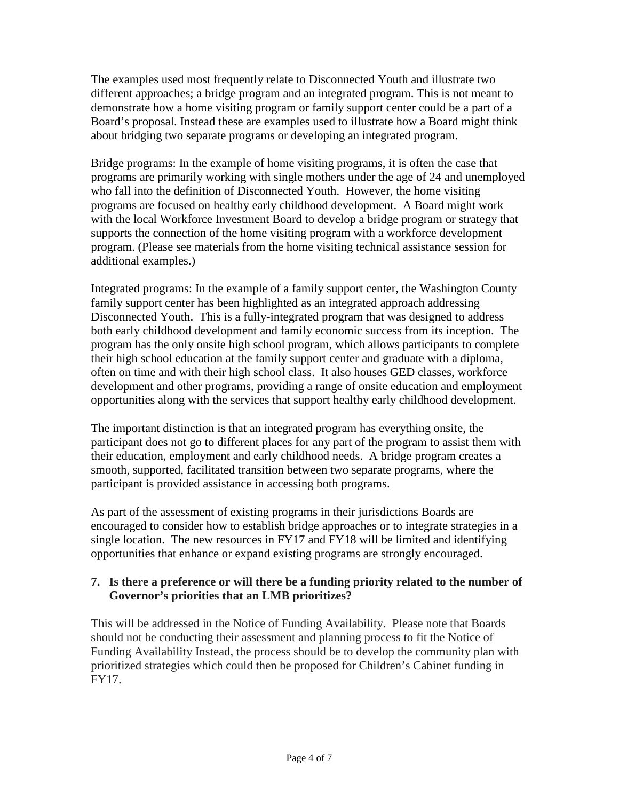The examples used most frequently relate to Disconnected Youth and illustrate two different approaches; a bridge program and an integrated program. This is not meant to demonstrate how a home visiting program or family support center could be a part of a Board's proposal. Instead these are examples used to illustrate how a Board might think about bridging two separate programs or developing an integrated program.

Bridge programs: In the example of home visiting programs, it is often the case that programs are primarily working with single mothers under the age of 24 and unemployed who fall into the definition of Disconnected Youth. However, the home visiting programs are focused on healthy early childhood development. A Board might work with the local Workforce Investment Board to develop a bridge program or strategy that supports the connection of the home visiting program with a workforce development program. (Please see materials from the home visiting technical assistance session for additional examples.)

Integrated programs: In the example of a family support center, the Washington County family support center has been highlighted as an integrated approach addressing Disconnected Youth. This is a fully-integrated program that was designed to address both early childhood development and family economic success from its inception. The program has the only onsite high school program, which allows participants to complete their high school education at the family support center and graduate with a diploma, often on time and with their high school class. It also houses GED classes, workforce development and other programs, providing a range of onsite education and employment opportunities along with the services that support healthy early childhood development.

The important distinction is that an integrated program has everything onsite, the participant does not go to different places for any part of the program to assist them with their education, employment and early childhood needs. A bridge program creates a smooth, supported, facilitated transition between two separate programs, where the participant is provided assistance in accessing both programs.

As part of the assessment of existing programs in their jurisdictions Boards are encouraged to consider how to establish bridge approaches or to integrate strategies in a single location. The new resources in FY17 and FY18 will be limited and identifying opportunities that enhance or expand existing programs are strongly encouraged.

## **7. Is there a preference or will there be a funding priority related to the number of Governor's priorities that an LMB prioritizes?**

This will be addressed in the Notice of Funding Availability. Please note that Boards should not be conducting their assessment and planning process to fit the Notice of Funding Availability Instead, the process should be to develop the community plan with prioritized strategies which could then be proposed for Children's Cabinet funding in FY17.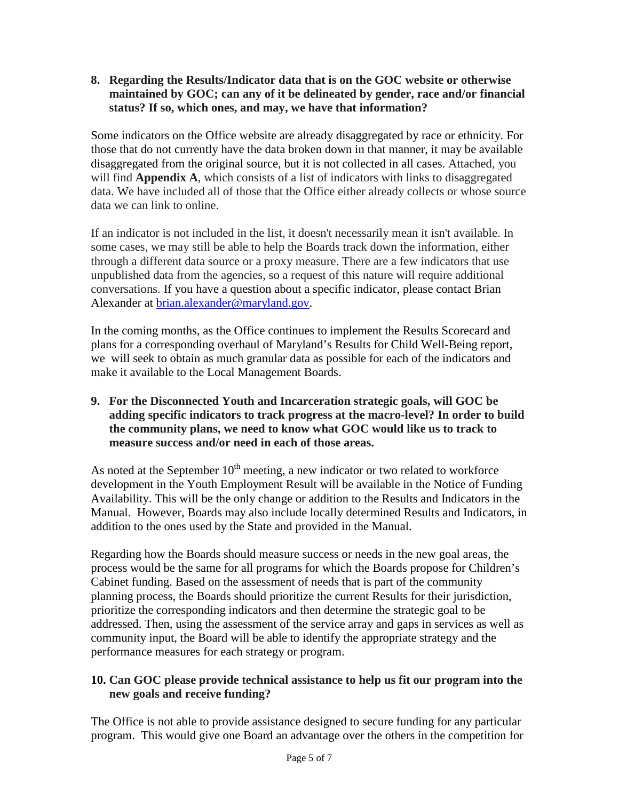### **8. Regarding the Results/Indicator data that is on the GOC website or otherwise maintained by GOC; can any of it be delineated by gender, race and/or financial status? If so, which ones, and may, we have that information?**

Some indicators on the Office website are already disaggregated by race or ethnicity. For those that do not currently have the data broken down in that manner, it may be available disaggregated from the original source, but it is not collected in all cases. Attached, you will find **Appendix A**, which consists of a list of indicators with links to disaggregated data. We have included all of those that the Office either already collects or whose source data we can link to online.

If an indicator is not included in the list, it doesn't necessarily mean it isn't available. In some cases, we may still be able to help the Boards track down the information, either through a different data source or a proxy measure. There are a few indicators that use unpublished data from the agencies, so a request of this nature will require additional conversations. If you have a question about a specific indicator, please contact Brian Alexander at [brian.alexander@maryland.gov.](mailto:brian.alexander@maryland.gov)

In the coming months, as the Office continues to implement the Results Scorecard and plans for a corresponding overhaul of Maryland's Results for Child Well-Being report, we will seek to obtain as much granular data as possible for each of the indicators and make it available to the Local Management Boards.

**9. For the Disconnected Youth and Incarceration strategic goals, will GOC be adding specific indicators to track progress at the macro-level? In order to build the community plans, we need to know what GOC would like us to track to measure success and/or need in each of those areas.**

As noted at the September  $10<sup>th</sup>$  meeting, a new indicator or two related to workforce development in the Youth Employment Result will be available in the Notice of Funding Availability. This will be the only change or addition to the Results and Indicators in the Manual. However, Boards may also include locally determined Results and Indicators, in addition to the ones used by the State and provided in the Manual.

Regarding how the Boards should measure success or needs in the new goal areas, the process would be the same for all programs for which the Boards propose for Children's Cabinet funding. Based on the assessment of needs that is part of the community planning process, the Boards should prioritize the current Results for their jurisdiction, prioritize the corresponding indicators and then determine the strategic goal to be addressed. Then, using the assessment of the service array and gaps in services as well as community input, the Board will be able to identify the appropriate strategy and the performance measures for each strategy or program.

## **10. Can GOC please provide technical assistance to help us fit our program into the new goals and receive funding?**

The Office is not able to provide assistance designed to secure funding for any particular program. This would give one Board an advantage over the others in the competition for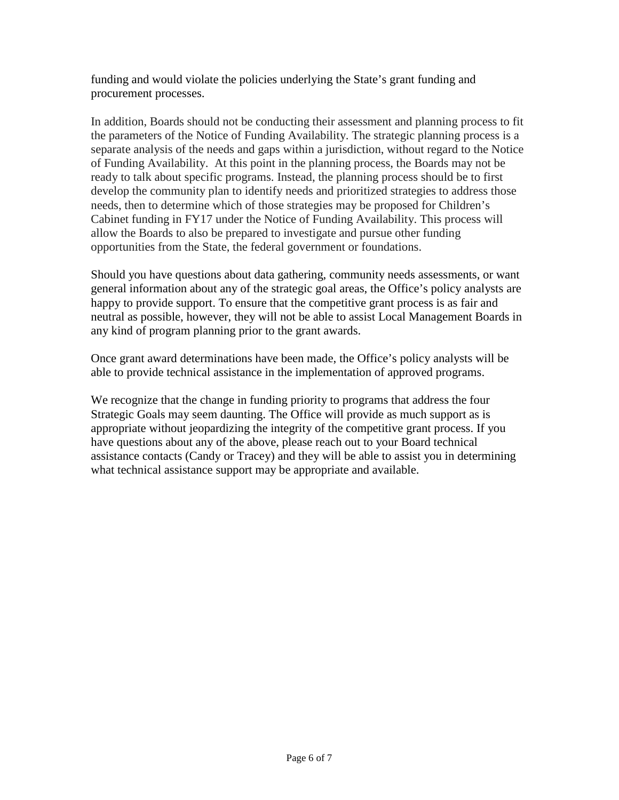funding and would violate the policies underlying the State's grant funding and procurement processes.

In addition, Boards should not be conducting their assessment and planning process to fit the parameters of the Notice of Funding Availability. The strategic planning process is a separate analysis of the needs and gaps within a jurisdiction, without regard to the Notice of Funding Availability. At this point in the planning process, the Boards may not be ready to talk about specific programs. Instead, the planning process should be to first develop the community plan to identify needs and prioritized strategies to address those needs, then to determine which of those strategies may be proposed for Children's Cabinet funding in FY17 under the Notice of Funding Availability. This process will allow the Boards to also be prepared to investigate and pursue other funding opportunities from the State, the federal government or foundations.

Should you have questions about data gathering, community needs assessments, or want general information about any of the strategic goal areas, the Office's policy analysts are happy to provide support. To ensure that the competitive grant process is as fair and neutral as possible, however, they will not be able to assist Local Management Boards in any kind of program planning prior to the grant awards.

Once grant award determinations have been made, the Office's policy analysts will be able to provide technical assistance in the implementation of approved programs.

We recognize that the change in funding priority to programs that address the four Strategic Goals may seem daunting. The Office will provide as much support as is appropriate without jeopardizing the integrity of the competitive grant process. If you have questions about any of the above, please reach out to your Board technical assistance contacts (Candy or Tracey) and they will be able to assist you in determining what technical assistance support may be appropriate and available.